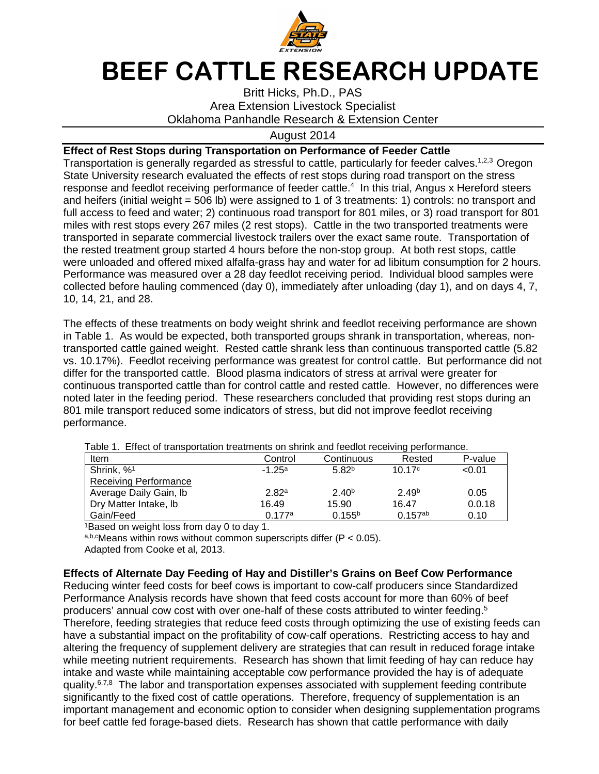

## **BEEF CATTLE RESEARCH UPDATE**

Britt Hicks, Ph.D., PAS Area Extension Livestock Specialist Oklahoma Panhandle Research & Extension Center

## August 2014

## **Effect of Rest Stops during Transportation on Performance of Feeder Cattle**

Transportation is generally regarded as stressful to cattle, particularly for feeder calves.<sup>1,2,3</sup> Oregon State University research evaluated the effects of rest stops during road transport on the stress response and feedlot receiving performance of feeder cattle.<sup>4</sup> In this trial, Angus x Hereford steers and heifers (initial weight = 506 lb) were assigned to 1 of 3 treatments: 1) controls: no transport and full access to feed and water; 2) continuous road transport for 801 miles, or 3) road transport for 801 miles with rest stops every 267 miles (2 rest stops). Cattle in the two transported treatments were transported in separate commercial livestock trailers over the exact same route. Transportation of the rested treatment group started 4 hours before the non-stop group. At both rest stops, cattle were unloaded and offered mixed alfalfa-grass hay and water for ad libitum consumption for 2 hours. Performance was measured over a 28 day feedlot receiving period. Individual blood samples were collected before hauling commenced (day 0), immediately after unloading (day 1), and on days 4, 7, 10, 14, 21, and 28.

The effects of these treatments on body weight shrink and feedlot receiving performance are shown in Table 1. As would be expected, both transported groups shrank in transportation, whereas, nontransported cattle gained weight. Rested cattle shrank less than continuous transported cattle (5.82 vs. 10.17%). Feedlot receiving performance was greatest for control cattle. But performance did not differ for the transported cattle. Blood plasma indicators of stress at arrival were greater for continuous transported cattle than for control cattle and rested cattle. However, no differences were noted later in the feeding period. These researchers concluded that providing rest stops during an 801 mile transport reduced some indicators of stress, but did not improve feedlot receiving performance.

| $\sim$ 0.0 $\sim$ 0.0 $\sim$ 0.0 $\sim$ 0.0 $\sim$ 0.0 $\sim$ 0.0 $\sim$ 0.0 $\sim$ 0.0 $\sim$ 0.0 $\sim$ 0.0 $\sim$ 0.0 $\sim$ 0.0 $\sim$ 0.0 $\sim$ 0.0 $\sim$ 0.0 $\sim$ 0.0 $\sim$ 0.0 $\sim$ 0.0 $\sim$ 0.0 $\sim$ 0.0 $\sim$ 0.0 $\sim$ 0.0 $\sim$ 0.0 $\sim$ 0.0 $\sim$ |                   |                    |                   |         |  |  |  |  |
|--------------------------------------------------------------------------------------------------------------------------------------------------------------------------------------------------------------------------------------------------------------------------------|-------------------|--------------------|-------------------|---------|--|--|--|--|
| Item                                                                                                                                                                                                                                                                           | Control           | Continuous         | Rested            | P-value |  |  |  |  |
| Shrink, % <sup>1</sup>                                                                                                                                                                                                                                                         | $-1.25a$          | 5.82 <sup>b</sup>  | 10.17c            | < 0.01  |  |  |  |  |
| <b>Receiving Performance</b>                                                                                                                                                                                                                                                   |                   |                    |                   |         |  |  |  |  |
| Average Daily Gain, Ib                                                                                                                                                                                                                                                         | 2.82 <sup>a</sup> | 2.40 <sup>b</sup>  | 2.49 <sup>b</sup> | 0.05    |  |  |  |  |
| Dry Matter Intake, Ib                                                                                                                                                                                                                                                          | 16.49             | 15.90              | 16.47             | 0.0.18  |  |  |  |  |
| Gain/Feed                                                                                                                                                                                                                                                                      | 0.177a            | 0.155 <sup>b</sup> | $0.157^{ab}$      | 0.10    |  |  |  |  |

Table 1. Effect of transportation treatments on shrink and feedlot receiving performance.

<sup>1</sup>Based on weight loss from day 0 to day 1.

a,b,cMeans within rows without common superscripts differ  $(P < 0.05)$ .

Adapted from Cooke et al, 2013.

## **Effects of Alternate Day Feeding of Hay and Distiller's Grains on Beef Cow Performance**

Reducing winter feed costs for beef cows is important to cow-calf producers since Standardized Performance Analysis records have shown that feed costs account for more than 60% of beef producers' annual cow cost with over one-half of these costs attributed to winter feeding.<sup>5</sup> Therefore, feeding strategies that reduce feed costs through optimizing the use of existing feeds can have a substantial impact on the profitability of cow-calf operations. Restricting access to hay and altering the frequency of supplement delivery are strategies that can result in reduced forage intake while meeting nutrient requirements. Research has shown that limit feeding of hay can reduce hay intake and waste while maintaining acceptable cow performance provided the hay is of adequate quality. $6,7,8$  The labor and transportation expenses associated with supplement feeding contribute significantly to the fixed cost of cattle operations. Therefore, frequency of supplementation is an important management and economic option to consider when designing supplementation programs for beef cattle fed forage-based diets. Research has shown that cattle performance with daily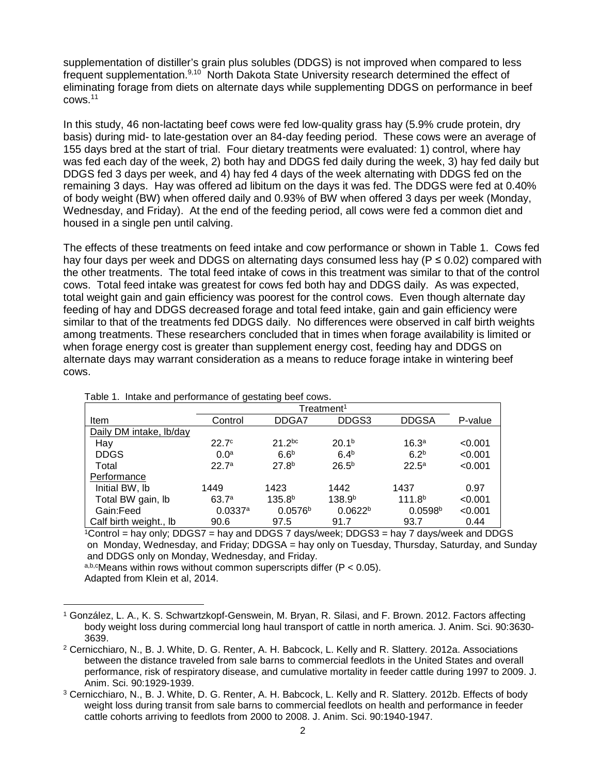supplementation of distiller's grain plus solubles (DDGS) is not improved when compared to less frequent supplementation.<sup>9,10</sup> North Dakota State University research determined the effect of eliminating forage from diets on alternate days while supplementing DDGS on performance in beef cows.<sup>11</sup>

In this study, 46 non-lactating beef cows were fed low-quality grass hay (5.9% crude protein, dry basis) during mid- to late-gestation over an 84-day feeding period. These cows were an average of 155 days bred at the start of trial. Four dietary treatments were evaluated: 1) control, where hay was fed each day of the week, 2) both hay and DDGS fed daily during the week, 3) hay fed daily but DDGS fed 3 days per week, and 4) hay fed 4 days of the week alternating with DDGS fed on the remaining 3 days. Hay was offered ad libitum on the days it was fed. The DDGS were fed at 0.40% of body weight (BW) when offered daily and 0.93% of BW when offered 3 days per week (Monday, Wednesday, and Friday). At the end of the feeding period, all cows were fed a common diet and housed in a single pen until calving.

The effects of these treatments on feed intake and cow performance or shown in Table 1. Cows fed hay four days per week and DDGS on alternating days consumed less hay ( $P \le 0.02$ ) compared with the other treatments. The total feed intake of cows in this treatment was similar to that of the control cows. Total feed intake was greatest for cows fed both hay and DDGS daily. As was expected, total weight gain and gain efficiency was poorest for the control cows. Even though alternate day feeding of hay and DDGS decreased forage and total feed intake, gain and gain efficiency were similar to that of the treatments fed DDGS daily. No differences were observed in calf birth weights among treatments. These researchers concluded that in times when forage availability is limited or when forage energy cost is greater than supplement energy cost, feeding hay and DDGS on alternate days may warrant consideration as a means to reduce forage intake in wintering beef cows.

| rapid in intento and pontonnanco or gootamig boor conor |                   |                     |                     |                     |         |  |  |  |
|---------------------------------------------------------|-------------------|---------------------|---------------------|---------------------|---------|--|--|--|
|                                                         |                   |                     |                     |                     |         |  |  |  |
| Item                                                    | Control           | DDGA7               | DDGS3               | <b>DDGSA</b>        | P-value |  |  |  |
| Daily DM intake, lb/day                                 |                   |                     |                     |                     |         |  |  |  |
| Hay                                                     | 22.7 <sup>c</sup> | $21.2^{bc}$         | 20.1 <sup>b</sup>   | 16.3 <sup>a</sup>   | < 0.001 |  |  |  |
| <b>DDGS</b>                                             | 0.0 <sup>a</sup>  | 6.6 <sup>b</sup>    | 6.4 <sup>b</sup>    | 6.2 <sup>b</sup>    | < 0.001 |  |  |  |
| Total                                                   | 22.7a             | 27.8 <sup>b</sup>   | 26.5 <sup>b</sup>   | $22.5^{\circ}$      | < 0.001 |  |  |  |
| Performance                                             |                   |                     |                     |                     |         |  |  |  |
| Initial BW, lb                                          | 1449              | 1423                | 1442                | 1437                | 0.97    |  |  |  |
| Total BW gain, lb                                       | 63.7a             | 135.8 <sup>b</sup>  | 138.9 <sup>b</sup>  | 111.8 <sup>b</sup>  | < 0.001 |  |  |  |
| Gain:Feed                                               | 0.0337a           | 0.0576 <sup>b</sup> | 0.0622 <sup>b</sup> | 0.0598 <sup>b</sup> | < 0.001 |  |  |  |
| Calf birth weight., lb                                  | 90.6              | 97.5                | 91.7                | 93.7                | 0.44    |  |  |  |

Table 1. Intake and performance of gestating beef cows.

 $1$ Control = hay only; DDGS7 = hay and DDGS 7 days/week; DDGS3 = hay 7 days/week and DDGS on Monday, Wednesday, and Friday; DDGSA = hay only on Tuesday, Thursday, Saturday, and Sunday and DDGS only on Monday, Wednesday, and Friday.

a,b,cMeans within rows without common superscripts differ ( $P < 0.05$ ). Adapted from Klein et al, 2014.

<sup>1</sup> González, L. A., K. S. Schwartzkopf-Genswein, M. Bryan, R. Silasi, and F. Brown. 2012. Factors affecting body weight loss during commercial long haul transport of cattle in north america. J. Anim. Sci. 90:3630- 3639.  $\overline{a}$ 

<sup>2</sup> Cernicchiaro, N., B. J. White, D. G. Renter, A. H. Babcock, L. Kelly and R. Slattery. 2012a. Associations between the distance traveled from sale barns to commercial feedlots in the United States and overall performance, risk of respiratory disease, and cumulative mortality in feeder cattle during 1997 to 2009. J. Anim. Sci. 90:1929-1939.

<sup>&</sup>lt;sup>3</sup> Cernicchiaro, N., B. J. White, D. G. Renter, A. H. Babcock, L. Kelly and R. Slattery. 2012b. Effects of body weight loss during transit from sale barns to commercial feedlots on health and performance in feeder cattle cohorts arriving to feedlots from 2000 to 2008. J. Anim. Sci. 90:1940-1947.